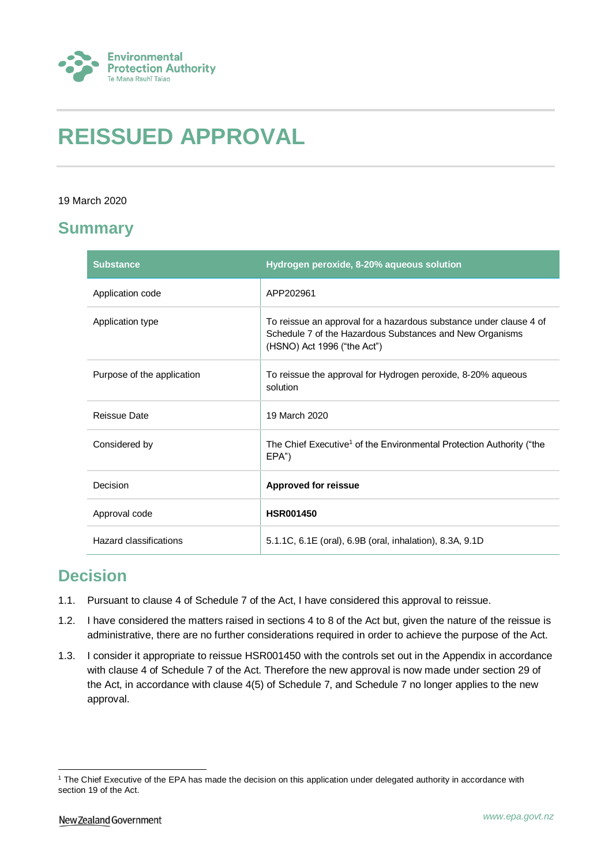

# **REISSUED APPROVAL**

#### 19 March 2020

## **Summary**

| <b>Substance</b>           | Hydrogen peroxide, 8-20% aqueous solution                                                                                                                     |
|----------------------------|---------------------------------------------------------------------------------------------------------------------------------------------------------------|
| Application code           | APP202961                                                                                                                                                     |
| Application type           | To reissue an approval for a hazardous substance under clause 4 of<br>Schedule 7 of the Hazardous Substances and New Organisms<br>(HSNO) Act 1996 ("the Act") |
| Purpose of the application | To reissue the approval for Hydrogen peroxide, 8-20% aqueous<br>solution                                                                                      |
| Reissue Date               | 19 March 2020                                                                                                                                                 |
| Considered by              | The Chief Executive <sup>1</sup> of the Environmental Protection Authority ("the<br>EPA")                                                                     |
| Decision                   | <b>Approved for reissue</b>                                                                                                                                   |
| Approval code              | <b>HSR001450</b>                                                                                                                                              |
| Hazard classifications     | 5.1.1C, 6.1E (oral), 6.9B (oral, inhalation), 8.3A, 9.1D                                                                                                      |

### **Decision**

- 1.1. Pursuant to clause 4 of Schedule 7 of the Act, I have considered this approval to reissue.
- 1.2. I have considered the matters raised in sections 4 to 8 of the Act but, given the nature of the reissue is administrative, there are no further considerations required in order to achieve the purpose of the Act.
- 1.3. I consider it appropriate to reissue HSR001450 with the controls set out in the Appendix in accordance with clause 4 of Schedule 7 of the Act. Therefore the new approval is now made under section 29 of the Act, in accordance with clause 4(5) of Schedule 7, and Schedule 7 no longer applies to the new approval.

1

<sup>&</sup>lt;sup>1</sup> The Chief Executive of the EPA has made the decision on this application under delegated authority in accordance with section 19 of the Act.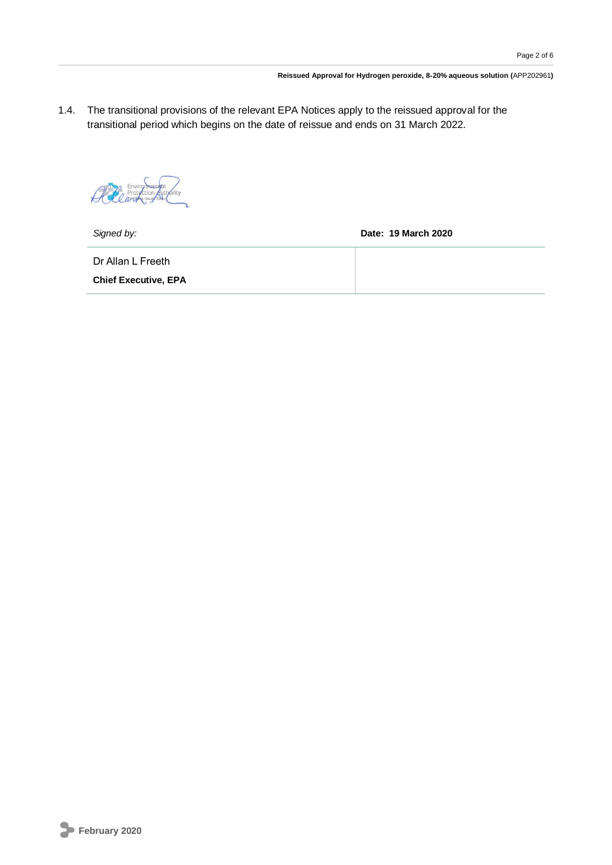1.4. The transitional provisions of the relevant EPA Notices apply to the reissued approval for the transitional period which begins on the date of reissue and ends on 31 March 2022.

All Environmental *<u></u>* 

*Signed by:* **Date: 19 March 2020**

Dr Allan L Freeth

**Chief Executive, EPA**

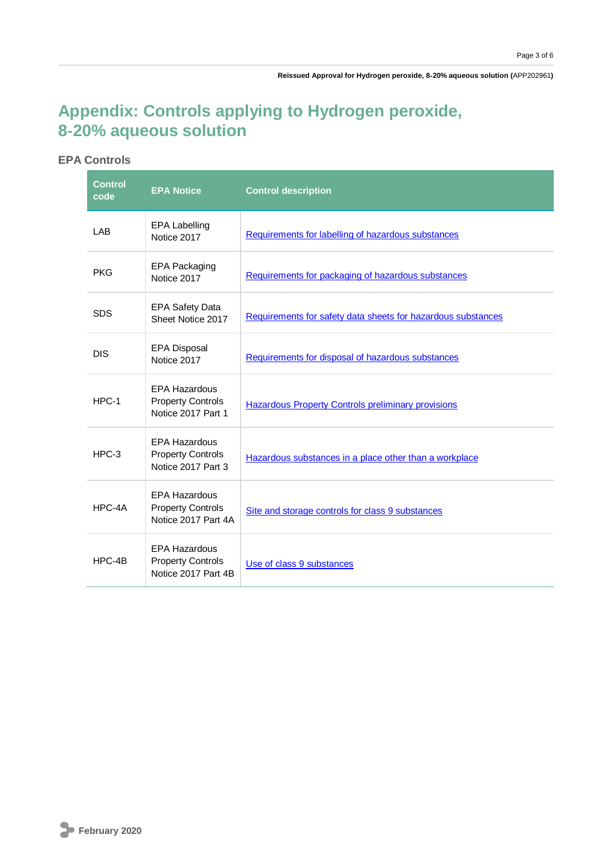**Reissued Approval for Hydrogen peroxide, 8**‑**20% aqueous solution (**APP202961**)**

## **Appendix: Controls applying to Hydrogen peroxide, 8**‑**20% aqueous solution**

#### **EPA Controls**

| <b>Control</b><br>code | <b>EPA Notice</b>                                                       | <b>Control description</b>                                   |
|------------------------|-------------------------------------------------------------------------|--------------------------------------------------------------|
| LAB                    | <b>EPA Labelling</b><br>Notice 2017                                     | Requirements for labelling of hazardous substances           |
| <b>PKG</b>             | <b>EPA Packaging</b><br>Notice 2017                                     | Requirements for packaging of hazardous substances           |
| <b>SDS</b>             | <b>EPA Safety Data</b><br>Sheet Notice 2017                             | Requirements for safety data sheets for hazardous substances |
| <b>DIS</b>             | <b>EPA Disposal</b><br>Notice 2017                                      | Requirements for disposal of hazardous substances            |
| HPC-1                  | <b>EPA Hazardous</b><br><b>Property Controls</b><br>Notice 2017 Part 1  | <b>Hazardous Property Controls preliminary provisions</b>    |
| $HPC-3$                | <b>EPA Hazardous</b><br><b>Property Controls</b><br>Notice 2017 Part 3  | Hazardous substances in a place other than a workplace       |
| HPC-4A                 | <b>EPA Hazardous</b><br><b>Property Controls</b><br>Notice 2017 Part 4A | Site and storage controls for class 9 substances             |
| HPC-4B                 | <b>EPA Hazardous</b><br><b>Property Controls</b><br>Notice 2017 Part 4B | Use of class 9 substances                                    |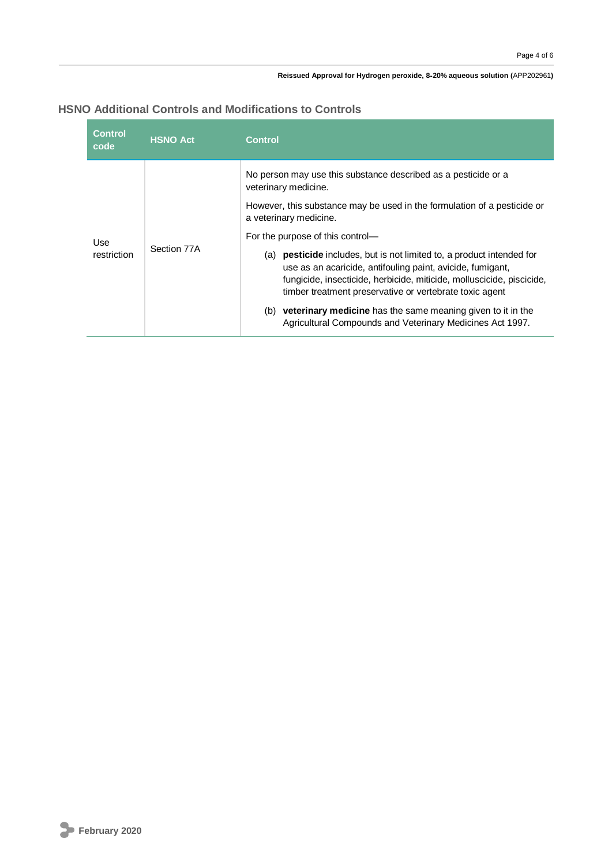#### **Reissued Approval for Hydrogen peroxide, 8**‑**20% aqueous solution (**APP202961**)**

#### **HSNO Additional Controls and Modifications to Controls**

| <b>Control</b><br>code | <b>HSNO Act</b> | <b>Control</b>                                                                                                                                                                                                                                                                    |
|------------------------|-----------------|-----------------------------------------------------------------------------------------------------------------------------------------------------------------------------------------------------------------------------------------------------------------------------------|
| Use<br>restriction     | Section 77A     | No person may use this substance described as a pesticide or a<br>veterinary medicine.<br>However, this substance may be used in the formulation of a pesticide or                                                                                                                |
|                        |                 | a veterinary medicine.                                                                                                                                                                                                                                                            |
|                        |                 | For the purpose of this control—                                                                                                                                                                                                                                                  |
|                        |                 | <b>pesticide</b> includes, but is not limited to, a product intended for<br>(a)<br>use as an acaricide, antifouling paint, avicide, fumigant,<br>fungicide, insecticide, herbicide, miticide, molluscicide, piscicide,<br>timber treatment preservative or vertebrate toxic agent |
|                        |                 | <b>veterinary medicine</b> has the same meaning given to it in the<br>(b)<br>Agricultural Compounds and Veterinary Medicines Act 1997.                                                                                                                                            |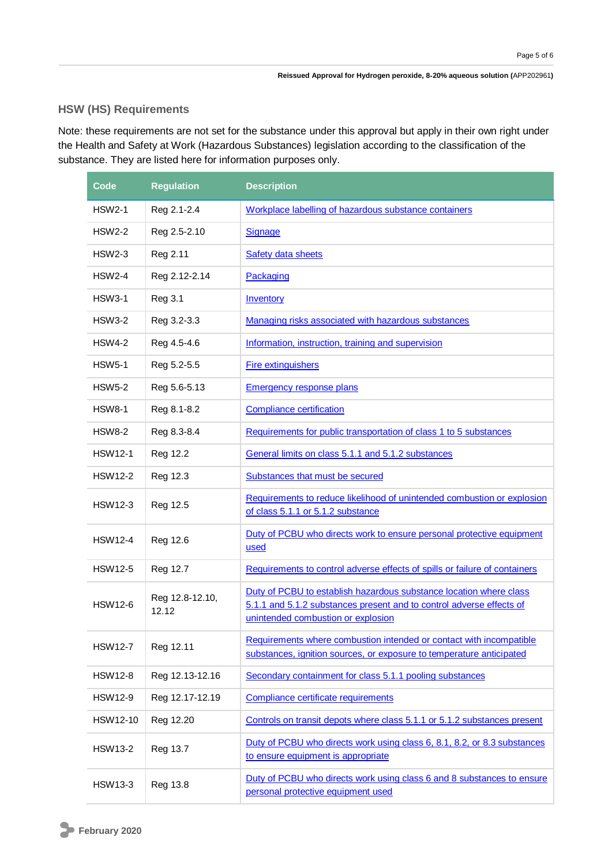#### **HSW (HS) Requirements**

Note: these requirements are not set for the substance under this approval but apply in their own right under the Health and Safety at Work (Hazardous Substances) legislation according to the classification of the substance. They are listed here for information purposes only.

| Code           | <b>Regulation</b>        | <b>Description</b>                                                                                                                                                               |
|----------------|--------------------------|----------------------------------------------------------------------------------------------------------------------------------------------------------------------------------|
| <b>HSW2-1</b>  | Reg 2.1-2.4              | Workplace labelling of hazardous substance containers                                                                                                                            |
| <b>HSW2-2</b>  | Reg 2.5-2.10             | <b>Signage</b>                                                                                                                                                                   |
| <b>HSW2-3</b>  | Reg 2.11                 | Safety data sheets                                                                                                                                                               |
| <b>HSW2-4</b>  | Reg 2.12-2.14            | Packaging                                                                                                                                                                        |
| <b>HSW3-1</b>  | Reg 3.1                  | Inventory                                                                                                                                                                        |
| <b>HSW3-2</b>  | Reg 3.2-3.3              | Managing risks associated with hazardous substances                                                                                                                              |
| <b>HSW4-2</b>  | Reg 4.5-4.6              | Information, instruction, training and supervision                                                                                                                               |
| <b>HSW5-1</b>  | Reg 5.2-5.5              | <b>Fire extinguishers</b>                                                                                                                                                        |
| <b>HSW5-2</b>  | Reg 5.6-5.13             | <b>Emergency response plans</b>                                                                                                                                                  |
| <b>HSW8-1</b>  | Reg 8.1-8.2              | <b>Compliance certification</b>                                                                                                                                                  |
| <b>HSW8-2</b>  | Reg 8.3-8.4              | Requirements for public transportation of class 1 to 5 substances                                                                                                                |
| <b>HSW12-1</b> | Reg 12.2                 | General limits on class 5.1.1 and 5.1.2 substances                                                                                                                               |
| <b>HSW12-2</b> | Reg 12.3                 | Substances that must be secured                                                                                                                                                  |
| <b>HSW12-3</b> | Reg 12.5                 | Requirements to reduce likelihood of unintended combustion or explosion<br>of class 5.1.1 or 5.1.2 substance                                                                     |
| <b>HSW12-4</b> | Reg 12.6                 | Duty of PCBU who directs work to ensure personal protective equipment<br>used                                                                                                    |
| <b>HSW12-5</b> | Reg 12.7                 | Requirements to control adverse effects of spills or failure of containers                                                                                                       |
| <b>HSW12-6</b> | Reg 12.8-12.10,<br>12.12 | Duty of PCBU to establish hazardous substance location where class<br>5.1.1 and 5.1.2 substances present and to control adverse effects of<br>unintended combustion or explosion |
| <b>HSW12-7</b> | Reg 12.11                | Requirements where combustion intended or contact with incompatible<br>substances, ignition sources, or exposure to temperature anticipated                                      |
| <b>HSW12-8</b> | Reg 12.13-12.16          | Secondary containment for class 5.1.1 pooling substances                                                                                                                         |
| <b>HSW12-9</b> | Reg 12.17-12.19          | Compliance certificate requirements                                                                                                                                              |
| HSW12-10       | Reg 12.20                | Controls on transit depots where class 5.1.1 or 5.1.2 substances present                                                                                                         |
| <b>HSW13-2</b> | Reg 13.7                 | Duty of PCBU who directs work using class 6, 8.1, 8.2, or 8.3 substances<br>to ensure equipment is appropriate                                                                   |
| <b>HSW13-3</b> | Reg 13.8                 | Duty of PCBU who directs work using class 6 and 8 substances to ensure<br>personal protective equipment used                                                                     |